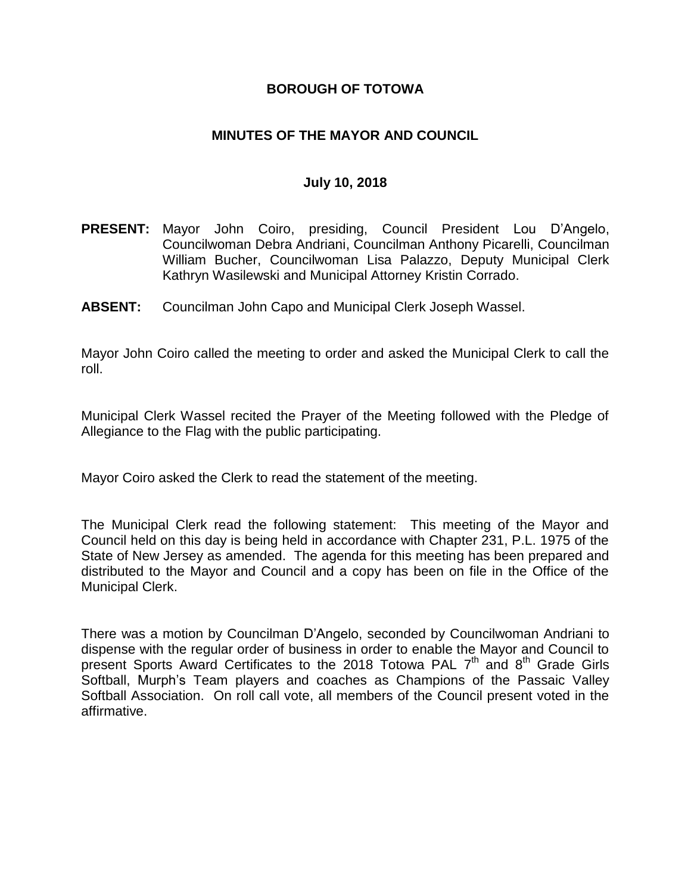### **BOROUGH OF TOTOWA**

### **MINUTES OF THE MAYOR AND COUNCIL**

#### **July 10, 2018**

- **PRESENT:** Mayor John Coiro, presiding, Council President Lou D'Angelo, Councilwoman Debra Andriani, Councilman Anthony Picarelli, Councilman William Bucher, Councilwoman Lisa Palazzo, Deputy Municipal Clerk Kathryn Wasilewski and Municipal Attorney Kristin Corrado.
- **ABSENT:** Councilman John Capo and Municipal Clerk Joseph Wassel.

Mayor John Coiro called the meeting to order and asked the Municipal Clerk to call the roll.

Municipal Clerk Wassel recited the Prayer of the Meeting followed with the Pledge of Allegiance to the Flag with the public participating.

Mayor Coiro asked the Clerk to read the statement of the meeting.

The Municipal Clerk read the following statement: This meeting of the Mayor and Council held on this day is being held in accordance with Chapter 231, P.L. 1975 of the State of New Jersey as amended. The agenda for this meeting has been prepared and distributed to the Mayor and Council and a copy has been on file in the Office of the Municipal Clerk.

There was a motion by Councilman D'Angelo, seconded by Councilwoman Andriani to dispense with the regular order of business in order to enable the Mayor and Council to present Sports Award Certificates to the 2018 Totowa PAL 7<sup>th</sup> and 8<sup>th</sup> Grade Girls Softball, Murph's Team players and coaches as Champions of the Passaic Valley Softball Association. On roll call vote, all members of the Council present voted in the affirmative.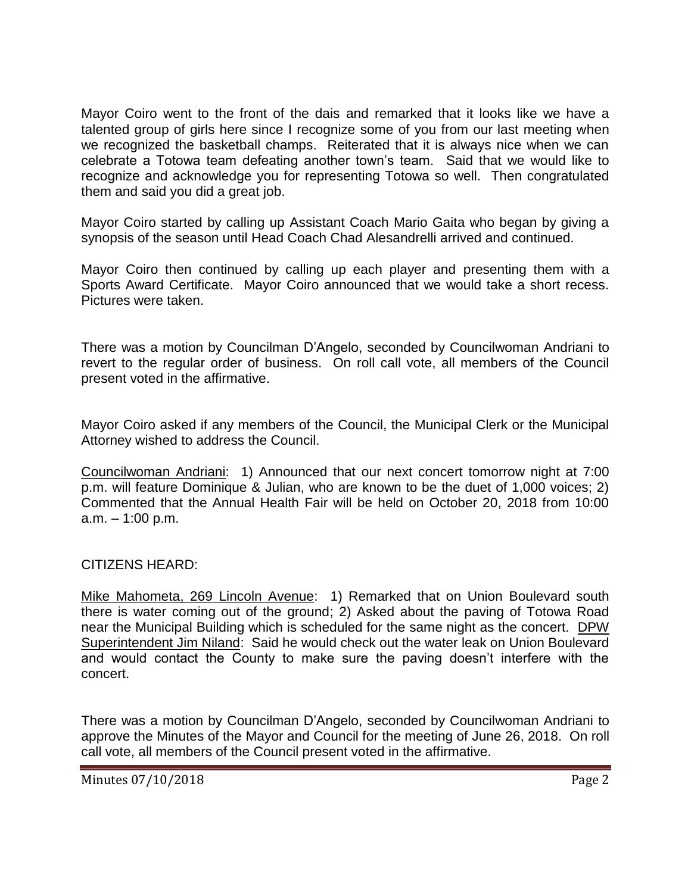Mayor Coiro went to the front of the dais and remarked that it looks like we have a talented group of girls here since I recognize some of you from our last meeting when we recognized the basketball champs. Reiterated that it is always nice when we can celebrate a Totowa team defeating another town's team. Said that we would like to recognize and acknowledge you for representing Totowa so well. Then congratulated them and said you did a great job.

Mayor Coiro started by calling up Assistant Coach Mario Gaita who began by giving a synopsis of the season until Head Coach Chad Alesandrelli arrived and continued.

Mayor Coiro then continued by calling up each player and presenting them with a Sports Award Certificate. Mayor Coiro announced that we would take a short recess. Pictures were taken.

There was a motion by Councilman D'Angelo, seconded by Councilwoman Andriani to revert to the regular order of business. On roll call vote, all members of the Council present voted in the affirmative.

Mayor Coiro asked if any members of the Council, the Municipal Clerk or the Municipal Attorney wished to address the Council.

Councilwoman Andriani: 1) Announced that our next concert tomorrow night at 7:00 p.m. will feature Dominique & Julian, who are known to be the duet of 1,000 voices; 2) Commented that the Annual Health Fair will be held on October 20, 2018 from 10:00 a.m. – 1:00 p.m.

#### CITIZENS HEARD:

Mike Mahometa, 269 Lincoln Avenue: 1) Remarked that on Union Boulevard south there is water coming out of the ground; 2) Asked about the paving of Totowa Road near the Municipal Building which is scheduled for the same night as the concert. DPW Superintendent Jim Niland: Said he would check out the water leak on Union Boulevard and would contact the County to make sure the paving doesn't interfere with the concert.

There was a motion by Councilman D'Angelo, seconded by Councilwoman Andriani to approve the Minutes of the Mayor and Council for the meeting of June 26, 2018. On roll call vote, all members of the Council present voted in the affirmative.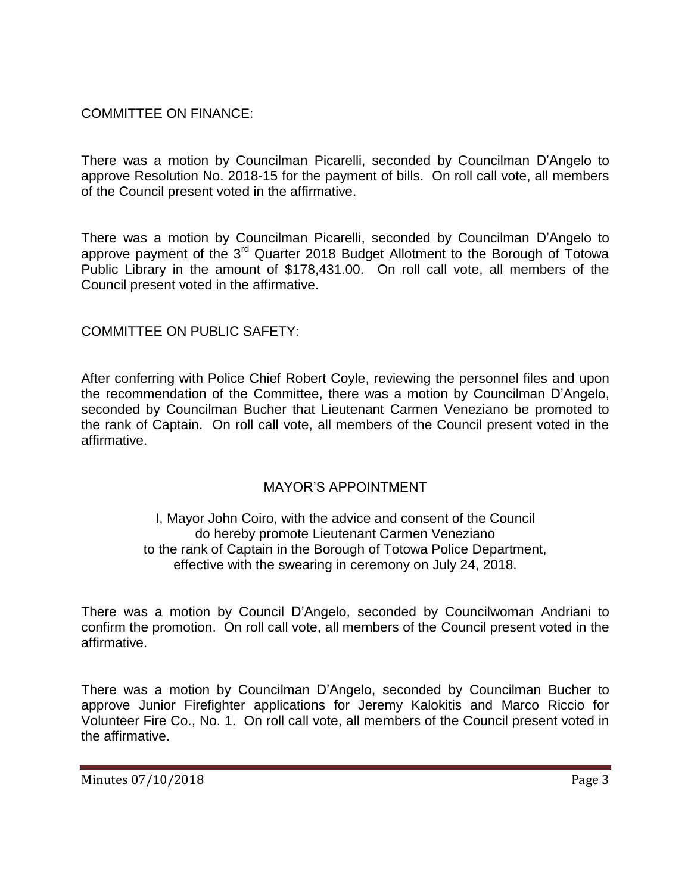COMMITTEE ON FINANCE:

There was a motion by Councilman Picarelli, seconded by Councilman D'Angelo to approve Resolution No. 2018-15 for the payment of bills. On roll call vote, all members of the Council present voted in the affirmative.

There was a motion by Councilman Picarelli, seconded by Councilman D'Angelo to approve payment of the 3rd Quarter 2018 Budget Allotment to the Borough of Totowa Public Library in the amount of \$178,431.00. On roll call vote, all members of the Council present voted in the affirmative.

## COMMITTEE ON PUBLIC SAFETY:

After conferring with Police Chief Robert Coyle, reviewing the personnel files and upon the recommendation of the Committee, there was a motion by Councilman D'Angelo, seconded by Councilman Bucher that Lieutenant Carmen Veneziano be promoted to the rank of Captain. On roll call vote, all members of the Council present voted in the affirmative.

## MAYOR'S APPOINTMENT

I, Mayor John Coiro, with the advice and consent of the Council do hereby promote Lieutenant Carmen Veneziano to the rank of Captain in the Borough of Totowa Police Department, effective with the swearing in ceremony on July 24, 2018.

There was a motion by Council D'Angelo, seconded by Councilwoman Andriani to confirm the promotion. On roll call vote, all members of the Council present voted in the affirmative.

There was a motion by Councilman D'Angelo, seconded by Councilman Bucher to approve Junior Firefighter applications for Jeremy Kalokitis and Marco Riccio for Volunteer Fire Co., No. 1. On roll call vote, all members of the Council present voted in the affirmative.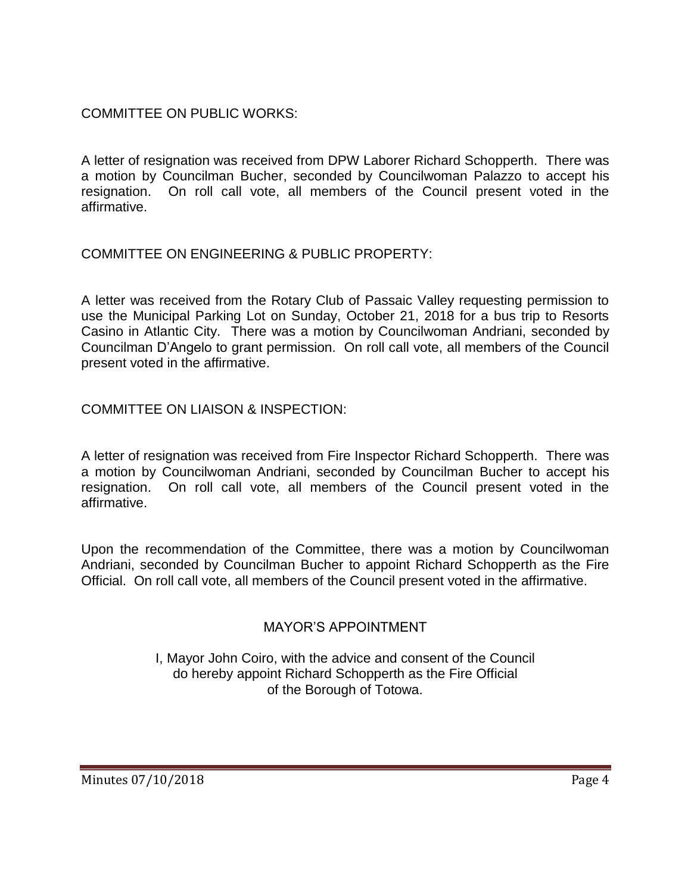# COMMITTEE ON PUBLIC WORKS:

A letter of resignation was received from DPW Laborer Richard Schopperth. There was a motion by Councilman Bucher, seconded by Councilwoman Palazzo to accept his resignation. On roll call vote, all members of the Council present voted in the affirmative.

# COMMITTEE ON ENGINEERING & PUBLIC PROPERTY:

A letter was received from the Rotary Club of Passaic Valley requesting permission to use the Municipal Parking Lot on Sunday, October 21, 2018 for a bus trip to Resorts Casino in Atlantic City. There was a motion by Councilwoman Andriani, seconded by Councilman D'Angelo to grant permission. On roll call vote, all members of the Council present voted in the affirmative.

## COMMITTEE ON LIAISON & INSPECTION:

A letter of resignation was received from Fire Inspector Richard Schopperth. There was a motion by Councilwoman Andriani, seconded by Councilman Bucher to accept his resignation. On roll call vote, all members of the Council present voted in the affirmative.

Upon the recommendation of the Committee, there was a motion by Councilwoman Andriani, seconded by Councilman Bucher to appoint Richard Schopperth as the Fire Official. On roll call vote, all members of the Council present voted in the affirmative.

## MAYOR'S APPOINTMENT

I, Mayor John Coiro, with the advice and consent of the Council do hereby appoint Richard Schopperth as the Fire Official of the Borough of Totowa.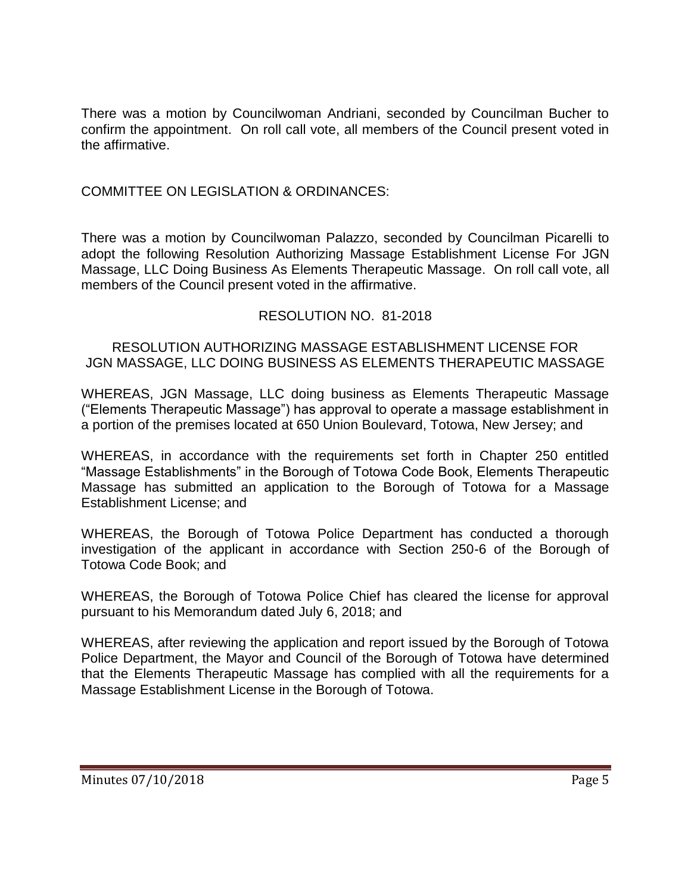There was a motion by Councilwoman Andriani, seconded by Councilman Bucher to confirm the appointment. On roll call vote, all members of the Council present voted in the affirmative.

### COMMITTEE ON LEGISLATION & ORDINANCES:

There was a motion by Councilwoman Palazzo, seconded by Councilman Picarelli to adopt the following Resolution Authorizing Massage Establishment License For JGN Massage, LLC Doing Business As Elements Therapeutic Massage. On roll call vote, all members of the Council present voted in the affirmative.

#### RESOLUTION NO. 81-2018

#### RESOLUTION AUTHORIZING MASSAGE ESTABLISHMENT LICENSE FOR JGN MASSAGE, LLC DOING BUSINESS AS ELEMENTS THERAPEUTIC MASSAGE

WHEREAS, JGN Massage, LLC doing business as Elements Therapeutic Massage ("Elements Therapeutic Massage") has approval to operate a massage establishment in a portion of the premises located at 650 Union Boulevard, Totowa, New Jersey; and

WHEREAS, in accordance with the requirements set forth in Chapter 250 entitled "Massage Establishments" in the Borough of Totowa Code Book, Elements Therapeutic Massage has submitted an application to the Borough of Totowa for a Massage Establishment License; and

WHEREAS, the Borough of Totowa Police Department has conducted a thorough investigation of the applicant in accordance with Section 250-6 of the Borough of Totowa Code Book; and

WHEREAS, the Borough of Totowa Police Chief has cleared the license for approval pursuant to his Memorandum dated July 6, 2018; and

WHEREAS, after reviewing the application and report issued by the Borough of Totowa Police Department, the Mayor and Council of the Borough of Totowa have determined that the Elements Therapeutic Massage has complied with all the requirements for a Massage Establishment License in the Borough of Totowa.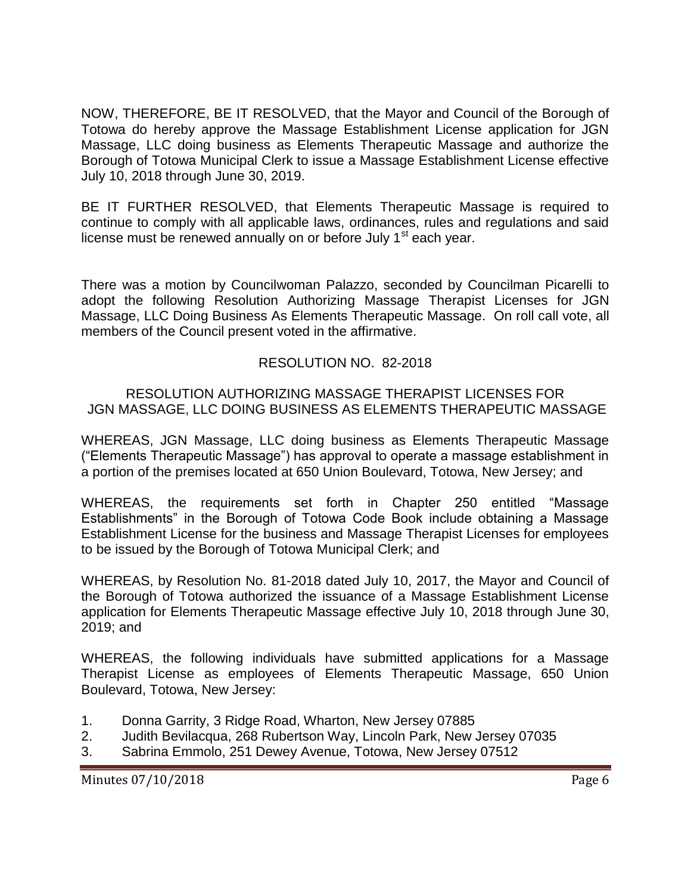NOW, THEREFORE, BE IT RESOLVED, that the Mayor and Council of the Borough of Totowa do hereby approve the Massage Establishment License application for JGN Massage, LLC doing business as Elements Therapeutic Massage and authorize the Borough of Totowa Municipal Clerk to issue a Massage Establishment License effective July 10, 2018 through June 30, 2019.

BE IT FURTHER RESOLVED, that Elements Therapeutic Massage is required to continue to comply with all applicable laws, ordinances, rules and regulations and said license must be renewed annually on or before July  $1<sup>st</sup>$  each year.

There was a motion by Councilwoman Palazzo, seconded by Councilman Picarelli to adopt the following Resolution Authorizing Massage Therapist Licenses for JGN Massage, LLC Doing Business As Elements Therapeutic Massage. On roll call vote, all members of the Council present voted in the affirmative.

# RESOLUTION NO. 82-2018

# RESOLUTION AUTHORIZING MASSAGE THERAPIST LICENSES FOR JGN MASSAGE, LLC DOING BUSINESS AS ELEMENTS THERAPEUTIC MASSAGE

WHEREAS, JGN Massage, LLC doing business as Elements Therapeutic Massage ("Elements Therapeutic Massage") has approval to operate a massage establishment in a portion of the premises located at 650 Union Boulevard, Totowa, New Jersey; and

WHEREAS, the requirements set forth in Chapter 250 entitled "Massage Establishments" in the Borough of Totowa Code Book include obtaining a Massage Establishment License for the business and Massage Therapist Licenses for employees to be issued by the Borough of Totowa Municipal Clerk; and

WHEREAS, by Resolution No. 81-2018 dated July 10, 2017, the Mayor and Council of the Borough of Totowa authorized the issuance of a Massage Establishment License application for Elements Therapeutic Massage effective July 10, 2018 through June 30, 2019; and

WHEREAS, the following individuals have submitted applications for a Massage Therapist License as employees of Elements Therapeutic Massage, 650 Union Boulevard, Totowa, New Jersey:

- 1. Donna Garrity, 3 Ridge Road, Wharton, New Jersey 07885
- 2. Judith Bevilacqua, 268 Rubertson Way, Lincoln Park, New Jersey 07035
- 3. Sabrina Emmolo, 251 Dewey Avenue, Totowa, New Jersey 07512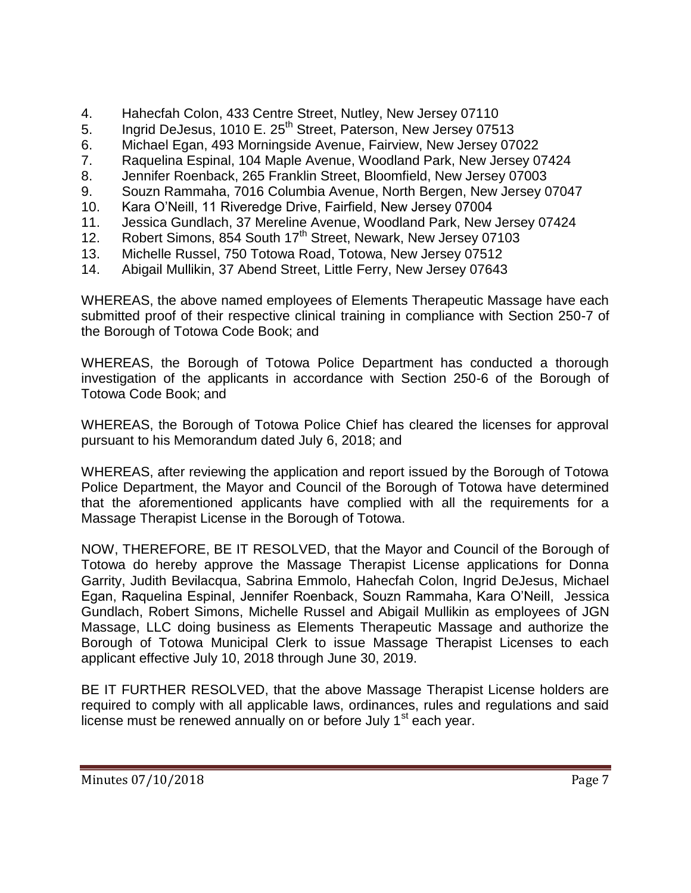- 4. Hahecfah Colon, 433 Centre Street, Nutley, New Jersey 07110
- 5. Ingrid DeJesus, 1010 E. 25<sup>th</sup> Street, Paterson, New Jersey 07513
- 6. Michael Egan, 493 Morningside Avenue, Fairview, New Jersey 07022
- 7. Raquelina Espinal, 104 Maple Avenue, Woodland Park, New Jersey 07424
- 8. Jennifer Roenback, 265 Franklin Street, Bloomfield, New Jersey 07003
- 9. Souzn Rammaha, 7016 Columbia Avenue, North Bergen, New Jersey 07047
- 10. Kara O'Neill, 11 Riveredge Drive, Fairfield, New Jersey 07004
- 11. Jessica Gundlach, 37 Mereline Avenue, Woodland Park, New Jersey 07424
- 12. Robert Simons, 854 South 17<sup>th</sup> Street, Newark, New Jersey 07103
- 13. Michelle Russel, 750 Totowa Road, Totowa, New Jersey 07512
- 14. Abigail Mullikin, 37 Abend Street, Little Ferry, New Jersey 07643

WHEREAS, the above named employees of Elements Therapeutic Massage have each submitted proof of their respective clinical training in compliance with Section 250-7 of the Borough of Totowa Code Book; and

WHEREAS, the Borough of Totowa Police Department has conducted a thorough investigation of the applicants in accordance with Section 250-6 of the Borough of Totowa Code Book; and

WHEREAS, the Borough of Totowa Police Chief has cleared the licenses for approval pursuant to his Memorandum dated July 6, 2018; and

WHEREAS, after reviewing the application and report issued by the Borough of Totowa Police Department, the Mayor and Council of the Borough of Totowa have determined that the aforementioned applicants have complied with all the requirements for a Massage Therapist License in the Borough of Totowa.

NOW, THEREFORE, BE IT RESOLVED, that the Mayor and Council of the Borough of Totowa do hereby approve the Massage Therapist License applications for Donna Garrity, Judith Bevilacqua, Sabrina Emmolo, Hahecfah Colon, Ingrid DeJesus, Michael Egan, Raquelina Espinal, Jennifer Roenback, Souzn Rammaha, Kara O'Neill, Jessica Gundlach, Robert Simons, Michelle Russel and Abigail Mullikin as employees of JGN Massage, LLC doing business as Elements Therapeutic Massage and authorize the Borough of Totowa Municipal Clerk to issue Massage Therapist Licenses to each applicant effective July 10, 2018 through June 30, 2019.

BE IT FURTHER RESOLVED, that the above Massage Therapist License holders are required to comply with all applicable laws, ordinances, rules and regulations and said license must be renewed annually on or before July 1<sup>st</sup> each year.